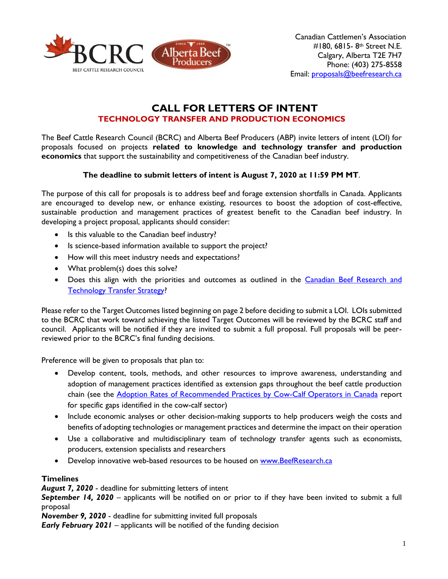

# **CALL FOR LETTERS OF INTENT TECHNOLOGY TRANSFER AND PRODUCTION ECONOMICS**

The Beef Cattle Research Council (BCRC) and Alberta Beef Producers (ABP) invite letters of intent (LOI) for proposals focused on projects **related to knowledge and technology transfer and production economics** that support the sustainability and competitiveness of the Canadian beef industry.

### **The deadline to submit letters of intent is August 7, 2020 at 11:59 PM MT**.

The purpose of this call for proposals is to address beef and forage extension shortfalls in Canada. Applicants are encouraged to develop new, or enhance existing, resources to boost the adoption of cost-effective, sustainable production and management practices of greatest benefit to the Canadian beef industry. In developing a project proposal, applicants should consider:

- Is this valuable to the Canadian beef industry?
- Is science-based information available to support the project?
- How will this meet industry needs and expectations?
- What problem(s) does this solve?
- Does this align with the priorities and outcomes as outlined in the Canadian Beef Research and [Technology Transfer Strategy?](http://www.beefresearch.ca/files/pdf/Canadian_Beef_Research_and_Technology_Transfer_Strategy_2018-2023_Jan16-17.pdf)

Please refer to the Target Outcomes listed beginning on page 2 before deciding to submit a LOI. LOIs submitted to the BCRC that work toward achieving the listed Target Outcomes will be reviewed by the BCRC staff and council. Applicants will be notified if they are invited to submit a full proposal. Full proposals will be peerreviewed prior to the BCRC's final funding decisions.

Preference will be given to proposals that plan to:

- Develop content, tools, methods, and other resources to improve awareness, understanding and adoption of management practices identified as extension gaps throughout the beef cattle production chain (see the **Adoption Rates of Recommended Practices by Cow-Calf Operators in Canada report** for specific gaps identified in the cow-calf sector)
- Include economic analyses or other decision-making supports to help producers weigh the costs and benefits of adopting technologies or management practices and determine the impact on their operation
- Use a collaborative and multidisciplinary team of technology transfer agents such as economists, producers, extension specialists and researchers
- Develop innovative web-based resources to be housed on [www.BeefResearch.ca](http://www.beefresearch.ca/)

#### **Timelines**

*August 7, 2020* - deadline for submitting letters of intent

*September 14, 2020* – applicants will be notified on or prior to if they have been invited to submit a full proposal

*November 9, 2020* - deadline for submitting invited full proposals

*Early February 2021* – applicants will be notified of the funding decision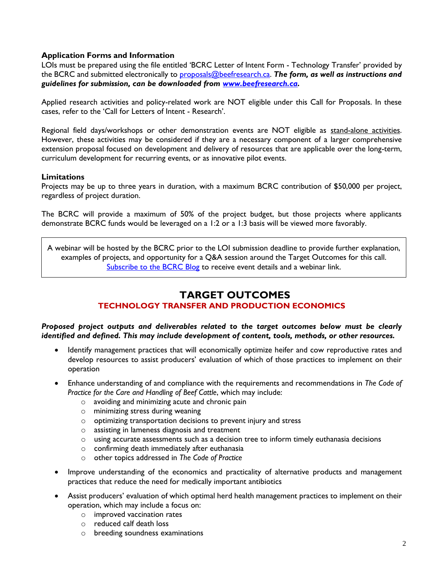#### **Application Forms and Information**

LOIs must be prepared using the file entitled 'BCRC Letter of Intent Form - Technology Transfer' provided by the BCRC and submitted electronically to [proposals@beefresearch.ca.](mailto:proposals@beefresearch.ca) *The form, as well as instructions and guidelines for submission, can be downloaded from [www.beefresearch.ca.](http://www.beefresearch.ca/)*

Applied research activities and policy-related work are NOT eligible under this Call for Proposals. In these cases, refer to the 'Call for Letters of Intent - Research'.

Regional field days/workshops or other demonstration events are NOT eligible as stand-alone activities. However, these activities may be considered if they are a necessary component of a larger comprehensive extension proposal focused on development and delivery of resources that are applicable over the long-term, curriculum development for recurring events, or as innovative pilot events.

#### **Limitations**

Projects may be up to three years in duration, with a maximum BCRC contribution of \$50,000 per project, regardless of project duration.

The BCRC will provide a maximum of 50% of the project budget, but those projects where applicants demonstrate BCRC funds would be leveraged on a 1:2 or a 1:3 basis will be viewed more favorably.

A webinar will be hosted by the BCRC prior to the LOI submission deadline to provide further explanation, examples of projects, and opportunity for a Q&A session around the Target Outcomes for this call. [Subscribe to the BCRC Blog](http://www.beefresearch.ca/blog/subscribe/) to receive event details and a webinar link.

# **TARGET OUTCOMES**

## **TECHNOLOGY TRANSFER AND PRODUCTION ECONOMICS**

*Proposed project outputs and deliverables related to the target outcomes below must be clearly identified and defined. This may include development of content, tools, methods, or other resources.*

- Identify management practices that will economically optimize heifer and cow reproductive rates and develop resources to assist producers' evaluation of which of those practices to implement on their operation
- Enhance understanding of and compliance with the requirements and recommendations in *The Code of Practice for the Care and Handling of Beef Cattle*, which may include:
	- o avoiding and minimizing acute and chronic pain
	- o minimizing stress during weaning
	- o optimizing transportation decisions to prevent injury and stress
	- o assisting in lameness diagnosis and treatment
	- $\circ$  using accurate assessments such as a decision tree to inform timely euthanasia decisions
	- o confirming death immediately after euthanasia
	- o other topics addressed in *The Code of Practice*
- Improve understanding of the economics and practicality of alternative products and management practices that reduce the need for medically important antibiotics
- Assist producers' evaluation of which optimal herd health management practices to implement on their operation, which may include a focus on:
	- o improved vaccination rates
	- o reduced calf death loss
	- o breeding soundness examinations